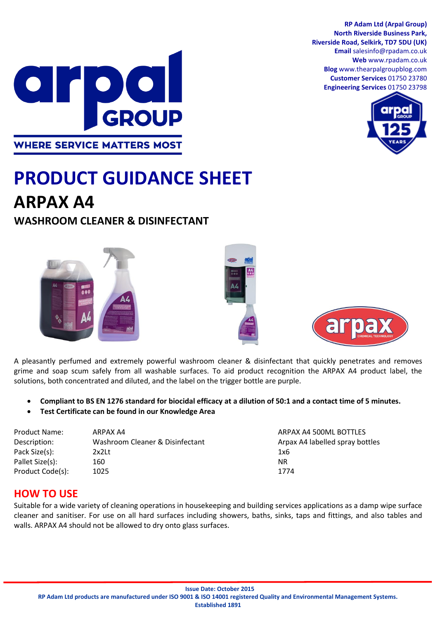**RP Adam Ltd (Arpal Group) North Riverside Business Park, Riverside Road, Selkirk, TD7 5DU (UK) Email** salesinfo@rpadam.co.uk **Web** www.rpadam.co.uk **Blog** www.thearpalgroupblog.com **Customer Services** 01750 23780 **Engineering Services** 01750 23798





# **PRODUCT GUIDANCE SHEET ARPAX A4**

# **WASHROOM CLEANER & DISINFECTANT**







A pleasantly perfumed and extremely powerful washroom cleaner & disinfectant that quickly penetrates and removes grime and soap scum safely from all washable surfaces. To aid product recognition the ARPAX A4 product label, the solutions, both concentrated and diluted, and the label on the trigger bottle are purple.

- **Compliant to BS EN 1276 standard for biocidal efficacy at a dilution of 50:1 and a contact time of 5 minutes.**
- **Test Certificate can be found in our Knowledge Area**

| <b>Product Name:</b> | ARPAX A4                        | ARPAX A4 500ML BOTTLES          |
|----------------------|---------------------------------|---------------------------------|
| Description:         | Washroom Cleaner & Disinfectant | Arpax A4 labelled spray bottles |
| Pack Size(s):        | 2x2Lt                           | 1x6                             |
| Pallet Size(s):      | 160                             | NR.                             |
| Product Code(s):     | 1025                            | 1774                            |

## **HOW TO USE**

Suitable for a wide variety of cleaning operations in housekeeping and building services applications as a damp wipe surface cleaner and sanitiser. For use on all hard surfaces including showers, baths, sinks, taps and fittings, and also tables and walls. ARPAX A4 should not be allowed to dry onto glass surfaces.

**RP Adam Ltd products are manufactured under ISO 9001 & ISO 14001 registered Quality and Environmental Management Systems.**

**Established 1891**